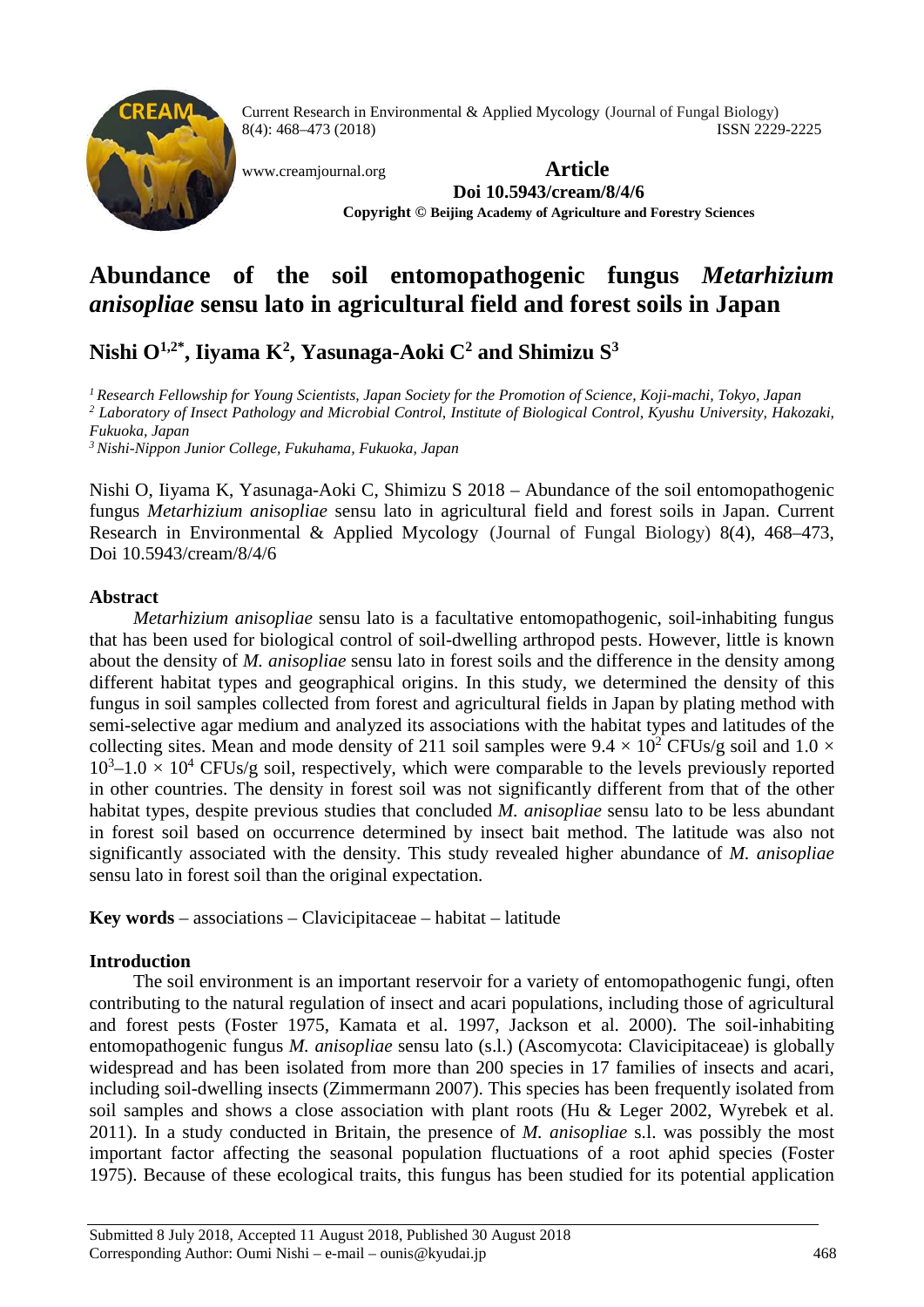

Current Research in Environmental & Applied Mycology (Journal of Fungal Biology) 8(4): 468–473 (2018) ISSN 2229-2225

[www.creamjournal.org](http://www.creamjournal.org/) **Article Doi 10.5943/cream/8/4/6 Copyright © Beijing Academy of Agriculture and Forestry Sciences**

# **Abundance of the soil entomopathogenic fungus** *Metarhizium anisopliae* **sensu lato in agricultural field and forest soils in Japan**

**Nishi O1,2\* , Iiyama K2 , Yasunaga-Aoki C2 and Shimizu S3**

*1 Research Fellowship for Young Scientists, Japan Society for the Promotion of Science, Koji-machi, Tokyo, Japan <sup>2</sup> Laboratory of Insect Pathology and Microbial Control, Institute of Biological Control, Kyushu University, Hakozaki, Fukuoka, Japan*

*<sup>3</sup> Nishi-Nippon Junior College, Fukuhama, Fukuoka, Japan*

Nishi O, Iiyama K, Yasunaga-Aoki C, Shimizu S 2018 – Abundance of the soil entomopathogenic fungus *Metarhizium anisopliae* sensu lato in agricultural field and forest soils in Japan. Current Research in Environmental & Applied Mycology (Journal of Fungal Biology) 8(4), 468–473, Doi 10.5943/cream/8/4/6

# **Abstract**

*Metarhizium anisopliae* sensu lato is a facultative entomopathogenic, soil-inhabiting fungus that has been used for biological control of soil-dwelling arthropod pests. However, little is known about the density of *M. anisopliae* sensu lato in forest soils and the difference in the density among different habitat types and geographical origins. In this study, we determined the density of this fungus in soil samples collected from forest and agricultural fields in Japan by plating method with semi-selective agar medium and analyzed its associations with the habitat types and latitudes of the collecting sites. Mean and mode density of 211 soil samples were  $9.4 \times 10^2$  CFUs/g soil and  $1.0 \times$  $10^3 - 1.0 \times 10^4$  CFUs/g soil, respectively, which were comparable to the levels previously reported in other countries. The density in forest soil was not significantly different from that of the other habitat types, despite previous studies that concluded *M. anisopliae* sensu lato to be less abundant in forest soil based on occurrence determined by insect bait method. The latitude was also not significantly associated with the density. This study revealed higher abundance of *M. anisopliae* sensu lato in forest soil than the original expectation.

**Key words** – associations – Clavicipitaceae – habitat – latitude

# **Introduction**

The soil environment is an important reservoir for a variety of entomopathogenic fungi, often contributing to the natural regulation of insect and acari populations, including those of agricultural and forest pests (Foster 1975, Kamata et al. 1997, Jackson et al. 2000). The soil-inhabiting entomopathogenic fungus *M. anisopliae* sensu lato (s.l.) (Ascomycota: Clavicipitaceae) is globally widespread and has been isolated from more than 200 species in 17 families of insects and acari, including soil-dwelling insects (Zimmermann 2007). This species has been frequently isolated from soil samples and shows a close association with plant roots (Hu & Leger 2002, Wyrebek et al. 2011). In a study conducted in Britain, the presence of *M. anisopliae* s.l. was possibly the most important factor affecting the seasonal population fluctuations of a root aphid species (Foster 1975). Because of these ecological traits, this fungus has been studied for its potential application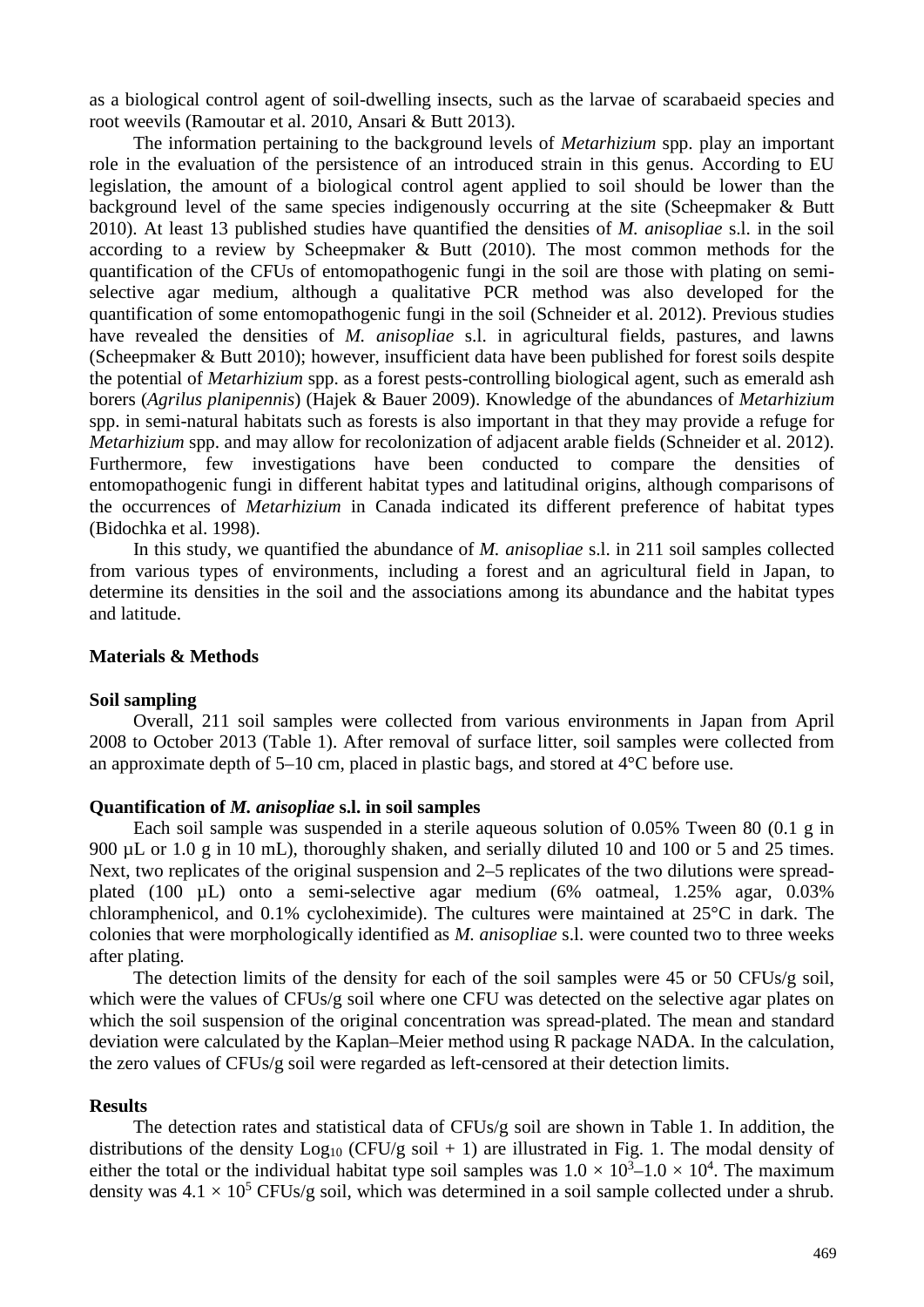as a biological control agent of soil-dwelling insects, such as the larvae of scarabaeid species and root weevils (Ramoutar et al. 2010, Ansari & Butt 2013).

The information pertaining to the background levels of *Metarhizium* spp. play an important role in the evaluation of the persistence of an introduced strain in this genus. According to EU legislation, the amount of a biological control agent applied to soil should be lower than the background level of the same species indigenously occurring at the site (Scheepmaker & Butt 2010). At least 13 published studies have quantified the densities of *M. anisopliae* s.l. in the soil according to a review by Scheepmaker  $\&$  Butt (2010). The most common methods for the quantification of the CFUs of entomopathogenic fungi in the soil are those with plating on semiselective agar medium, although a qualitative PCR method was also developed for the quantification of some entomopathogenic fungi in the soil (Schneider et al. 2012). Previous studies have revealed the densities of *M. anisopliae* s.l. in agricultural fields, pastures, and lawns (Scheepmaker & Butt 2010); however, insufficient data have been published for forest soils despite the potential of *Metarhizium* spp. as a forest pests-controlling biological agent, such as emerald ash borers (*Agrilus planipennis*) (Hajek & Bauer 2009). Knowledge of the abundances of *Metarhizium* spp. in semi-natural habitats such as forests is also important in that they may provide a refuge for *Metarhizium* spp. and may allow for recolonization of adjacent arable fields (Schneider et al. 2012). Furthermore, few investigations have been conducted to compare the densities of entomopathogenic fungi in different habitat types and latitudinal origins, although comparisons of the occurrences of *Metarhizium* in Canada indicated its different preference of habitat types (Bidochka et al. 1998).

In this study, we quantified the abundance of *M. anisopliae* s.l. in 211 soil samples collected from various types of environments, including a forest and an agricultural field in Japan, to determine its densities in the soil and the associations among its abundance and the habitat types and latitude.

## **Materials & Methods**

#### **Soil sampling**

Overall, 211 soil samples were collected from various environments in Japan from April 2008 to October 2013 (Table 1). After removal of surface litter, soil samples were collected from an approximate depth of 5–10 cm, placed in plastic bags, and stored at 4°C before use.

## **Quantification of** *M. anisopliae* **s.l. in soil samples**

Each soil sample was suspended in a sterile aqueous solution of 0.05% Tween 80 (0.1 g in 900 µL or 1.0 g in 10 mL), thoroughly shaken, and serially diluted 10 and 100 or 5 and 25 times. Next, two replicates of the original suspension and 2–5 replicates of the two dilutions were spreadplated (100 µL) onto a semi-selective agar medium (6% oatmeal, 1.25% agar, 0.03% chloramphenicol, and 0.1% cycloheximide). The cultures were maintained at 25°C in dark. The colonies that were morphologically identified as *M. anisopliae* s.l. were counted two to three weeks after plating.

The detection limits of the density for each of the soil samples were 45 or 50 CFUs/g soil, which were the values of CFUs/g soil where one CFU was detected on the selective agar plates on which the soil suspension of the original concentration was spread-plated. The mean and standard deviation were calculated by the Kaplan–Meier method using R package NADA. In the calculation, the zero values of CFUs/g soil were regarded as left-censored at their detection limits.

#### **Results**

The detection rates and statistical data of CFUs/g soil are shown in Table 1. In addition, the distributions of the density  $Log_{10}$  (CFU/g soil + 1) are illustrated in Fig. 1. The modal density of either the total or the individual habitat type soil samples was  $1.0 \times 10^3 - 1.0 \times 10^4$ . The maximum density was  $4.1 \times 10^5$  CFUs/g soil, which was determined in a soil sample collected under a shrub.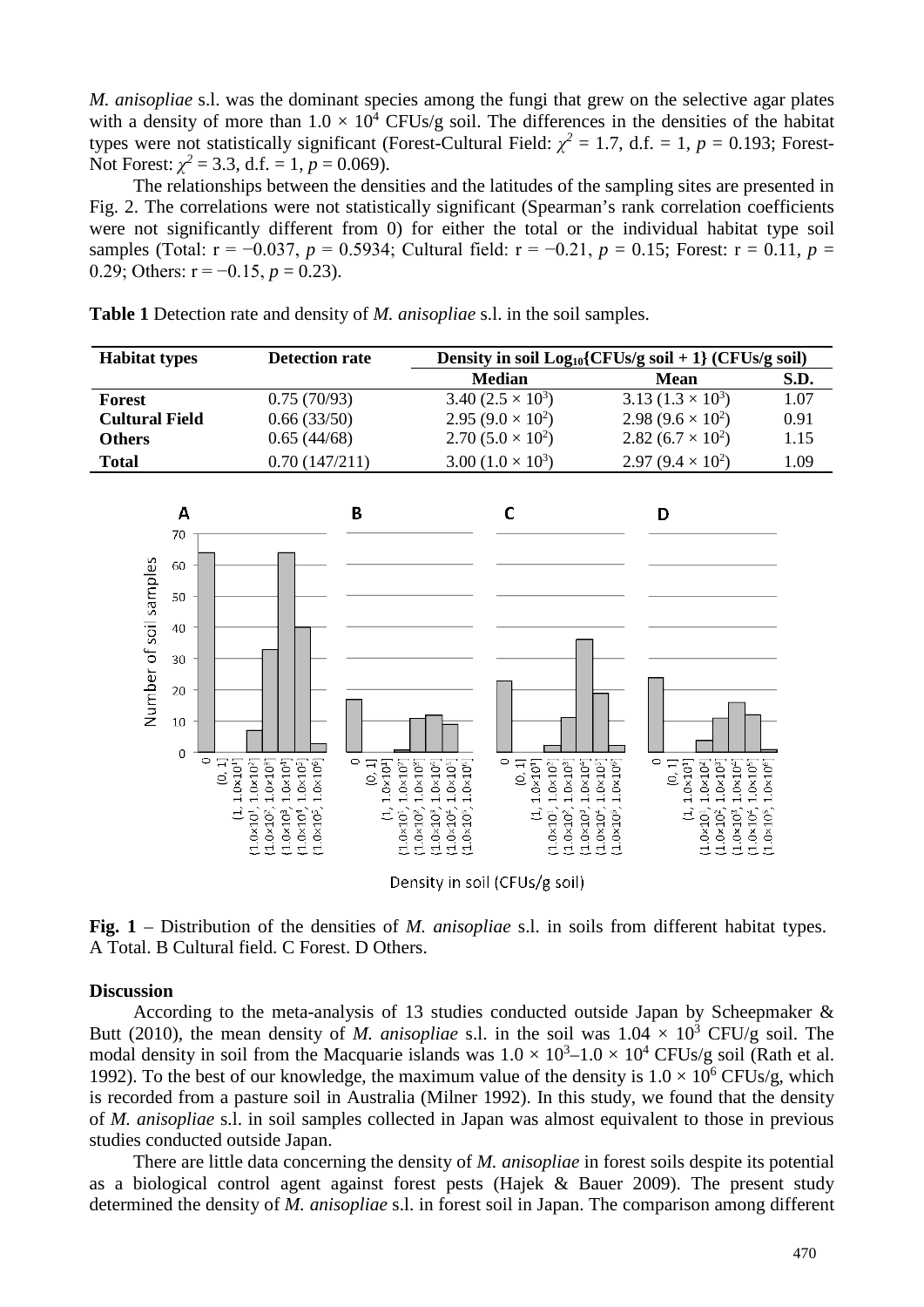*M. anisopliae* s.l. was the dominant species among the fungi that grew on the selective agar plates with a density of more than  $1.0 \times 10^4$  CFUs/g soil. The differences in the densities of the habitat types were not statistically significant (Forest-Cultural Field:  $\chi^2 = 1.7$ , d.f. = 1,  $p = 0.193$ ; Forest-Not Forest:  $\gamma^2 = 3.3$ , d.f. = 1,  $p = 0.069$ ).

The relationships between the densities and the latitudes of the sampling sites are presented in Fig. 2. The correlations were not statistically significant (Spearman's rank correlation coefficients were not significantly different from 0) for either the total or the individual habitat type soil samples (Total:  $r = -0.037$ ,  $p = 0.5934$ ; Cultural field:  $r = -0.21$ ,  $p = 0.15$ ; Forest:  $r = 0.11$ ,  $p =$ 0.29; Others:  $r = -0.15$ ,  $p = 0.23$ ).

| <b>Habitat types</b>  | <b>Detection rate</b> | Density in soil $Log_{10}$ {CFUs/g soil + 1} (CFUs/g soil) |                          |      |
|-----------------------|-----------------------|------------------------------------------------------------|--------------------------|------|
|                       |                       | <b>Median</b>                                              | <b>Mean</b>              | S.D. |
| <b>Forest</b>         | 0.75(70/93)           | 3.40 $(2.5 \times 10^3)$                                   | 3.13 $(1.3 \times 10^3)$ | 1.07 |
| <b>Cultural Field</b> | 0.66(33/50)           | 2.95 $(9.0 \times 10^2)$                                   | 2.98 $(9.6 \times 10^2)$ | 0.91 |
| <b>Others</b>         | 0.65(44/68)           | 2.70 $(5.0 \times 10^2)$                                   | 2.82 $(6.7 \times 10^2)$ | 1.15 |
| Total                 | 0.70(147/211)         | 3.00 $(1.0 \times 10^3)$                                   | 2.97 $(9.4 \times 10^2)$ | 1.09 |

**Table 1** Detection rate and density of *M. anisopliae* s.l. in the soil samples.



**Fig. 1** – Distribution of the densities of *M. anisopliae* s.l. in soils from different habitat types. A Total. B Cultural field. C Forest. D Others.

#### **Discussion**

According to the meta-analysis of 13 studies conducted outside Japan by Scheepmaker & Butt (2010), the mean density of *M. anisopliae* s.l. in the soil was  $1.04 \times 10^3$  CFU/g soil. The modal density in soil from the Macquarie islands was  $1.0 \times 10^3 - 1.0 \times 10^4$  CFUs/g soil (Rath et al. 1992). To the best of our knowledge, the maximum value of the density is  $1.0 \times 10^6$  CFUs/g, which is recorded from a pasture soil in Australia (Milner 1992). In this study, we found that the density of *M. anisopliae* s.l. in soil samples collected in Japan was almost equivalent to those in previous studies conducted outside Japan.

There are little data concerning the density of *M. anisopliae* in forest soils despite its potential as a biological control agent against forest pests (Hajek & Bauer 2009). The present study determined the density of *M. anisopliae* s.l. in forest soil in Japan. The comparison among different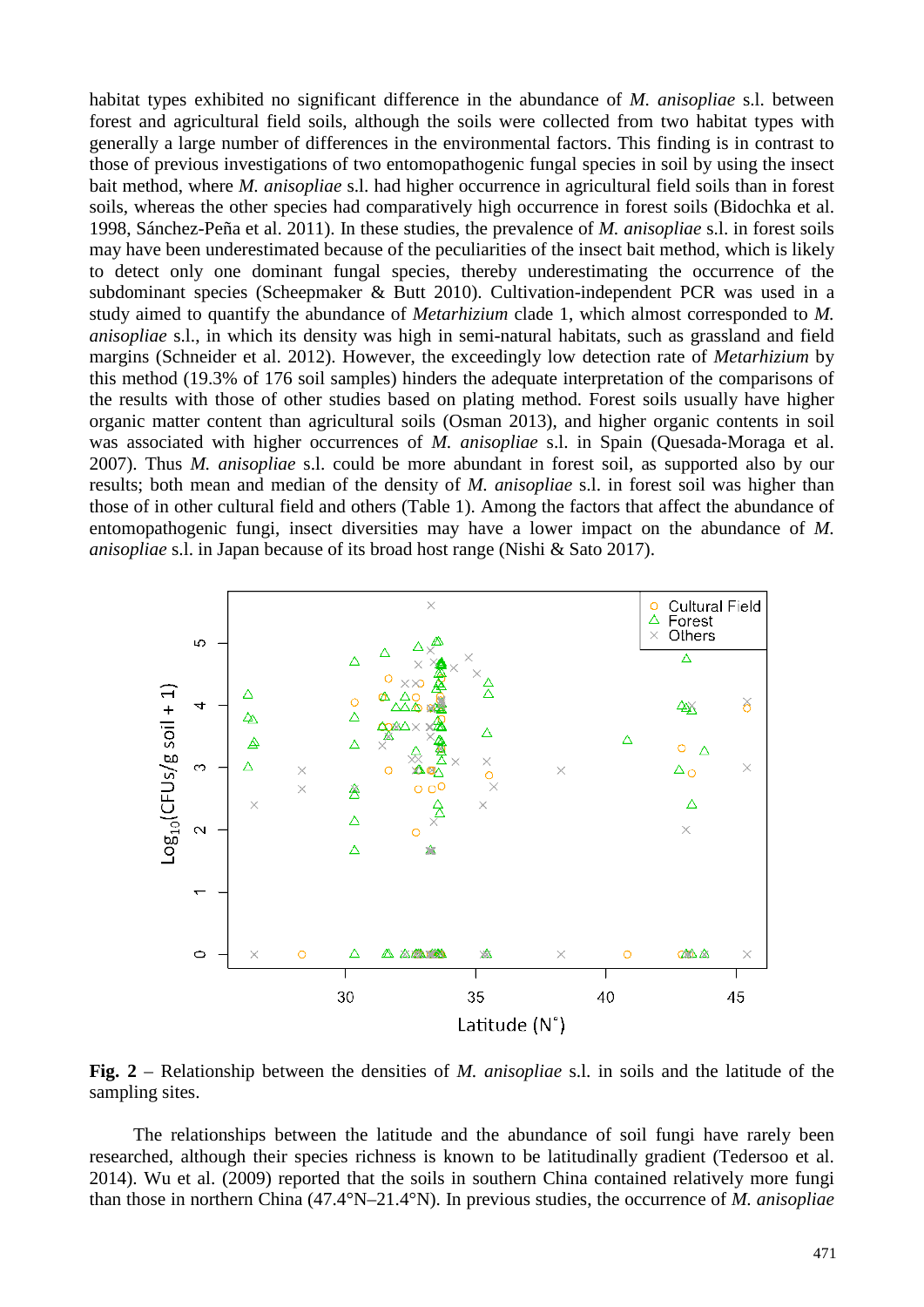habitat types exhibited no significant difference in the abundance of *M. anisopliae* s.l. between forest and agricultural field soils, although the soils were collected from two habitat types with generally a large number of differences in the environmental factors. This finding is in contrast to those of previous investigations of two entomopathogenic fungal species in soil by using the insect bait method, where *M. anisopliae* s.l. had higher occurrence in agricultural field soils than in forest soils, whereas the other species had comparatively high occurrence in forest soils (Bidochka et al. 1998, Sánchez-Peña et al. 2011). In these studies, the prevalence of *M. anisopliae* s.l. in forest soils may have been underestimated because of the peculiarities of the insect bait method, which is likely to detect only one dominant fungal species, thereby underestimating the occurrence of the subdominant species (Scheepmaker & Butt 2010). Cultivation-independent PCR was used in a study aimed to quantify the abundance of *Metarhizium* clade 1, which almost corresponded to *M. anisopliae* s.l., in which its density was high in semi-natural habitats, such as grassland and field margins (Schneider et al. 2012). However, the exceedingly low detection rate of *Metarhizium* by this method (19.3% of 176 soil samples) hinders the adequate interpretation of the comparisons of the results with those of other studies based on plating method. Forest soils usually have higher organic matter content than agricultural soils (Osman 2013), and higher organic contents in soil was associated with higher occurrences of *M. anisopliae* s.l. in Spain (Quesada-Moraga et al. 2007). Thus *M. anisopliae* s.l. could be more abundant in forest soil, as supported also by our results; both mean and median of the density of *M. anisopliae* s.l. in forest soil was higher than those of in other cultural field and others (Table 1). Among the factors that affect the abundance of entomopathogenic fungi, insect diversities may have a lower impact on the abundance of *M. anisopliae* s.l. in Japan because of its broad host range (Nishi & Sato 2017).



**Fig. 2** – Relationship between the densities of *M. anisopliae* s.l. in soils and the latitude of the sampling sites.

The relationships between the latitude and the abundance of soil fungi have rarely been researched, although their species richness is known to be latitudinally gradient (Tedersoo et al. 2014). Wu et al. (2009) reported that the soils in southern China contained relatively more fungi than those in northern China (47.4°N–21.4°N). In previous studies, the occurrence of *M. anisopliae*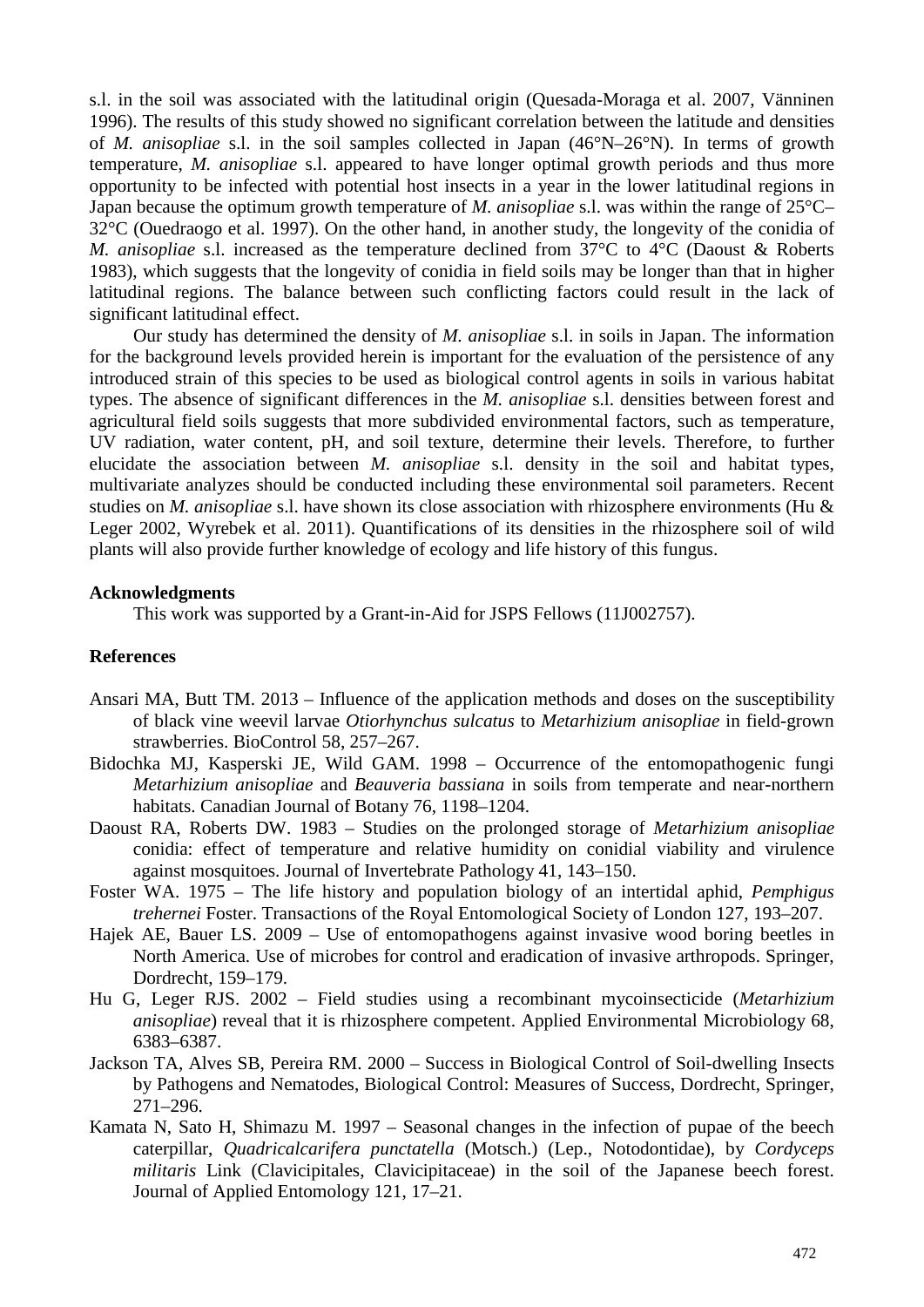s.l. in the soil was associated with the latitudinal origin (Quesada-Moraga et al. 2007, Vänninen 1996). The results of this study showed no significant correlation between the latitude and densities of *M. anisopliae* s.l. in the soil samples collected in Japan (46°N–26°N). In terms of growth temperature, *M. anisopliae* s.l. appeared to have longer optimal growth periods and thus more opportunity to be infected with potential host insects in a year in the lower latitudinal regions in Japan because the optimum growth temperature of *M. anisopliae* s.l. was within the range of 25°C– 32°C (Ouedraogo et al. 1997). On the other hand, in another study, the longevity of the conidia of *M. anisopliae* s.l. increased as the temperature declined from 37°C to 4°C (Daoust & Roberts 1983), which suggests that the longevity of conidia in field soils may be longer than that in higher latitudinal regions. The balance between such conflicting factors could result in the lack of significant latitudinal effect.

Our study has determined the density of *M. anisopliae* s.l. in soils in Japan. The information for the background levels provided herein is important for the evaluation of the persistence of any introduced strain of this species to be used as biological control agents in soils in various habitat types. The absence of significant differences in the *M. anisopliae* s.l. densities between forest and agricultural field soils suggests that more subdivided environmental factors, such as temperature, UV radiation, water content, pH, and soil texture, determine their levels. Therefore, to further elucidate the association between *M. anisopliae* s.l. density in the soil and habitat types, multivariate analyzes should be conducted including these environmental soil parameters. Recent studies on *M. anisopliae* s.l. have shown its close association with rhizosphere environments (Hu & Leger 2002, Wyrebek et al. 2011). Quantifications of its densities in the rhizosphere soil of wild plants will also provide further knowledge of ecology and life history of this fungus.

### **Acknowledgments**

This work was supported by a Grant-in-Aid for JSPS Fellows (11J002757).

## **References**

- Ansari MA, Butt TM. 2013 Influence of the application methods and doses on the susceptibility of black vine weevil larvae *Otiorhynchus sulcatus* to *Metarhizium anisopliae* in field-grown strawberries. BioControl 58, 257–267.
- Bidochka MJ, Kasperski JE, Wild GAM. 1998 Occurrence of the entomopathogenic fungi *Metarhizium anisopliae* and *Beauveria bassiana* in soils from temperate and near-northern habitats. Canadian Journal of Botany 76, 1198–1204.
- Daoust RA, Roberts DW. 1983 Studies on the prolonged storage of *Metarhizium anisopliae* conidia: effect of temperature and relative humidity on conidial viability and virulence against mosquitoes. Journal of Invertebrate Pathology 41, 143–150.
- Foster WA. 1975 The life history and population biology of an intertidal aphid, *Pemphigus trehernei* Foster. Transactions of the Royal Entomological Society of London 127, 193–207.
- Hajek AE, Bauer LS. 2009 Use of entomopathogens against invasive wood boring beetles in North America. Use of microbes for control and eradication of invasive arthropods. Springer, Dordrecht, 159–179.
- Hu G, Leger RJS. 2002 Field studies using a recombinant mycoinsecticide (*Metarhizium anisopliae*) reveal that it is rhizosphere competent. Applied Environmental Microbiology 68, 6383–6387.
- Jackson TA, Alves SB, Pereira RM. 2000 Success in Biological Control of Soil-dwelling Insects by Pathogens and Nematodes, Biological Control: Measures of Success, Dordrecht, Springer, 271–296.
- Kamata N, Sato H, Shimazu M. 1997 Seasonal changes in the infection of pupae of the beech caterpillar, *Quadricalcarifera punctatella* (Motsch.) (Lep., Notodontidae), by *Cordyceps militaris* Link (Clavicipitales, Clavicipitaceae) in the soil of the Japanese beech forest. Journal of Applied Entomology 121, 17–21.